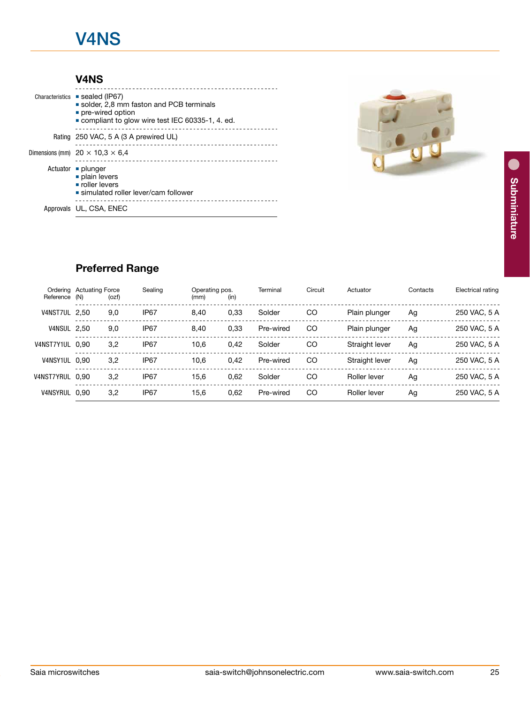## V4NS

### V4NS

| Characteristics | ■ sealed (IP67)                                                                                                |
|-----------------|----------------------------------------------------------------------------------------------------------------|
|                 | solder, 2,8 mm faston and PCB terminals<br>pre-wired option<br>compliant to glow wire test IEC 60335-1, 4, ed. |
|                 | Rating 250 VAC, 5 A (3 A prewired UL)                                                                          |
|                 | Dimensions (mm) $20 \times 10.3 \times 6.4$                                                                    |
|                 | Actuator ■ plunger<br>plain levers<br>noller levers<br>$\blacksquare$ simulated roller lever/cam follower      |
|                 | Approvals UL, CSA, ENEC                                                                                        |



## Preferred Range

| Reference          | Ordering Actuating Force<br>(N) | (ozf) | Sealing          | Operating pos.<br>(mm) | (in) | Terminal  | Circuit | Actuator       | Contacts | Electrical rating |
|--------------------|---------------------------------|-------|------------------|------------------------|------|-----------|---------|----------------|----------|-------------------|
| V4NST7UL 2,50      |                                 | 9,0   | IP <sub>67</sub> | 8,40                   | 0,33 | Solder    | CO      | Plain plunger  | Ag       | 250 VAC, 5 A      |
| <b>V4NSUL 2,50</b> |                                 | 9,0   | IP <sub>67</sub> | 8,40                   | 0,33 | Pre-wired | CO      | Plain plunger  | Ag       | 250 VAC, 5 A      |
| V4NST7Y1UL         | 0.90                            | 3,2   | IP <sub>67</sub> | 10.6                   | 0,42 | Solder    | CO      | Straight lever | Ag       | 250 VAC, 5 A      |
| V4NSY1UL           | 0.90                            | 3,2   | IP <sub>67</sub> | 10.6                   | 0,42 | Pre-wired | CO      | Straight lever | Ag       | 250 VAC, 5 A      |
| V4NST7YRUL         | 0.90                            | 3.2   | IP <sub>67</sub> | 15.6                   | 0,62 | Solder    | CO      | Roller lever   | Ag       | 250 VAC, 5 A      |
| <b>V4NSYRUL</b>    | 0.90                            | 3,2   | IP <sub>67</sub> | 15.6                   | 0,62 | Pre-wired | CO      | Roller lever   | Ag       | 250 VAC, 5 A      |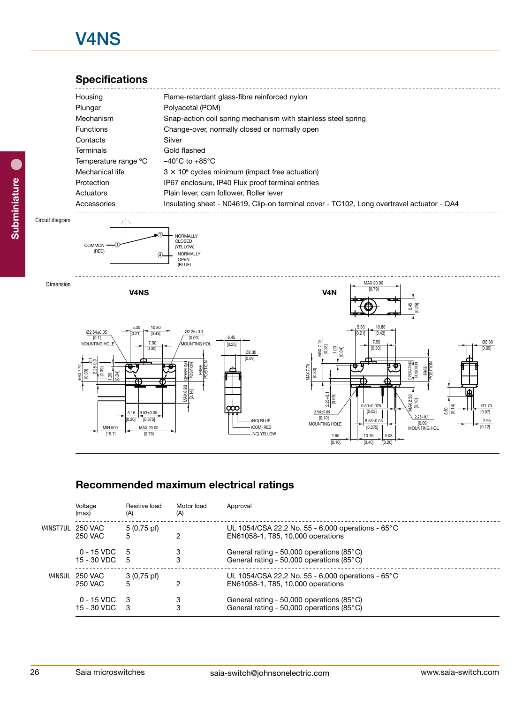# V4NS

## **Specifications**

| Housing              | Flame-retardant glass-fibre reinforced nylon                                              |
|----------------------|-------------------------------------------------------------------------------------------|
| Plunger              | Polyacetal (POM)                                                                          |
| Mechanism            | Snap-action coil spring mechanism with stainless steel spring                             |
| <b>Functions</b>     | Change-over, normally closed or normally open                                             |
| Contacts             | Silver                                                                                    |
| Terminals            | Gold flashed                                                                              |
| Temperature range °C | $-40^{\circ}$ C to $+85^{\circ}$ C                                                        |
| Mechanical life      | $3 \times 10^6$ cycles minimum (impact free actuation)                                    |
| Protection           | IP67 enclosure, IP40 Flux proof terminal entries                                          |
| Actuators            | Plain lever, cam follower. Roller lever                                                   |
| Accessories          | Insulating sheet - N04619, Clip-on terminal cover - TC102, Long overtravel actuator - QA4 |
|                      |                                                                                           |

#### Circuit diagram





#### Recommended maximum electrical ratings OPERATING POSITION POSITION

| MIN 500<br>[19.7]                  | $5.16$ 9.53±0.05<br>[0.375]<br>0.20]<br>MAX 20.00<br>[0.79] | MAX 8.90<br>[0.14] | $\frac{2.25+0.1}{[0.09]}$<br>MAX 2.50<br>$0.50 \pm 0.025$<br>$\frac{3.60}{[0.14]}$<br>$2.54 \pm 0.05$<br>[0.02]<br>$2.25 + 0.1$<br>[0.10]<br>(NO) BLUE<br>$9.53 \pm 0.05$<br>[0.09]<br>MOUNTING HOLE<br>(COM) RED<br>[0.375]<br>MOUNTING HOL<br>(NC) YELLOW<br>2.60<br>10.16<br>5.08<br>[0.10]<br>[0.40]<br>[0.20] | <u>때</u><br>01.70<br>[0.07]<br>2.95<br>[0.12] |  |  |  |  |
|------------------------------------|-------------------------------------------------------------|--------------------|--------------------------------------------------------------------------------------------------------------------------------------------------------------------------------------------------------------------------------------------------------------------------------------------------------------------|-----------------------------------------------|--|--|--|--|
| Voltage                            | Resitive load                                               | Motor load         | Recommended maximum electrical ratings<br>Approval                                                                                                                                                                                                                                                                 |                                               |  |  |  |  |
| (max)                              | (A)                                                         | (A)                |                                                                                                                                                                                                                                                                                                                    |                                               |  |  |  |  |
| V4NST7UL 250 VAC<br><b>250 VAC</b> | 5 (0,75 pf)<br>5                                            | $\overline{2}$     | UL 1054/CSA 22,2 No. 55 - 6,000 operations - 65°C<br>EN61058-1, T85, 10,000 operations                                                                                                                                                                                                                             |                                               |  |  |  |  |
| $0 - 15$ VDC<br>15 - 30 VDC        | 5<br>5                                                      | 3<br>3             | General rating - 50,000 operations (85°C)<br>General rating - 50,000 operations (85°C)                                                                                                                                                                                                                             |                                               |  |  |  |  |
| V4NSUL 250 VAC<br><b>250 VAC</b>   | $3(0,75 \text{ pf})$<br>5                                   | $\mathbf{2}$       | UL 1054/CSA 22,2 No. 55 - 6,000 operations - 65°C<br>EN61058-1, T85, 10,000 operations                                                                                                                                                                                                                             |                                               |  |  |  |  |
| $0 - 15$ VDC<br>15 - 30 VDC        | 3<br>3                                                      | 3<br>3             | General rating - 50,000 operations (85°C)<br>General rating - 50,000 operations (85°C)                                                                                                                                                                                                                             |                                               |  |  |  |  |
|                                    |                                                             |                    | www.saia-switch.com<br>saia-switch@johnsonelectric.com                                                                                                                                                                                                                                                             |                                               |  |  |  |  |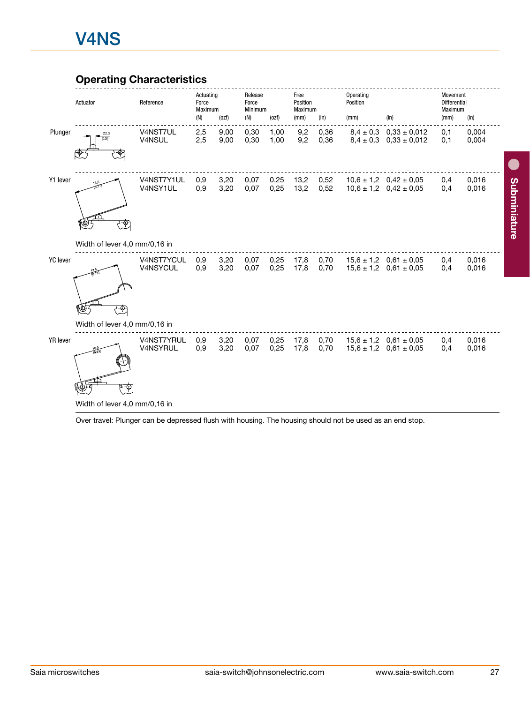### Operating Characteristics



Over travel: Plunger can be depressed flush with housing. The housing should not be used as an end stop.

Subminiature

Subminiature